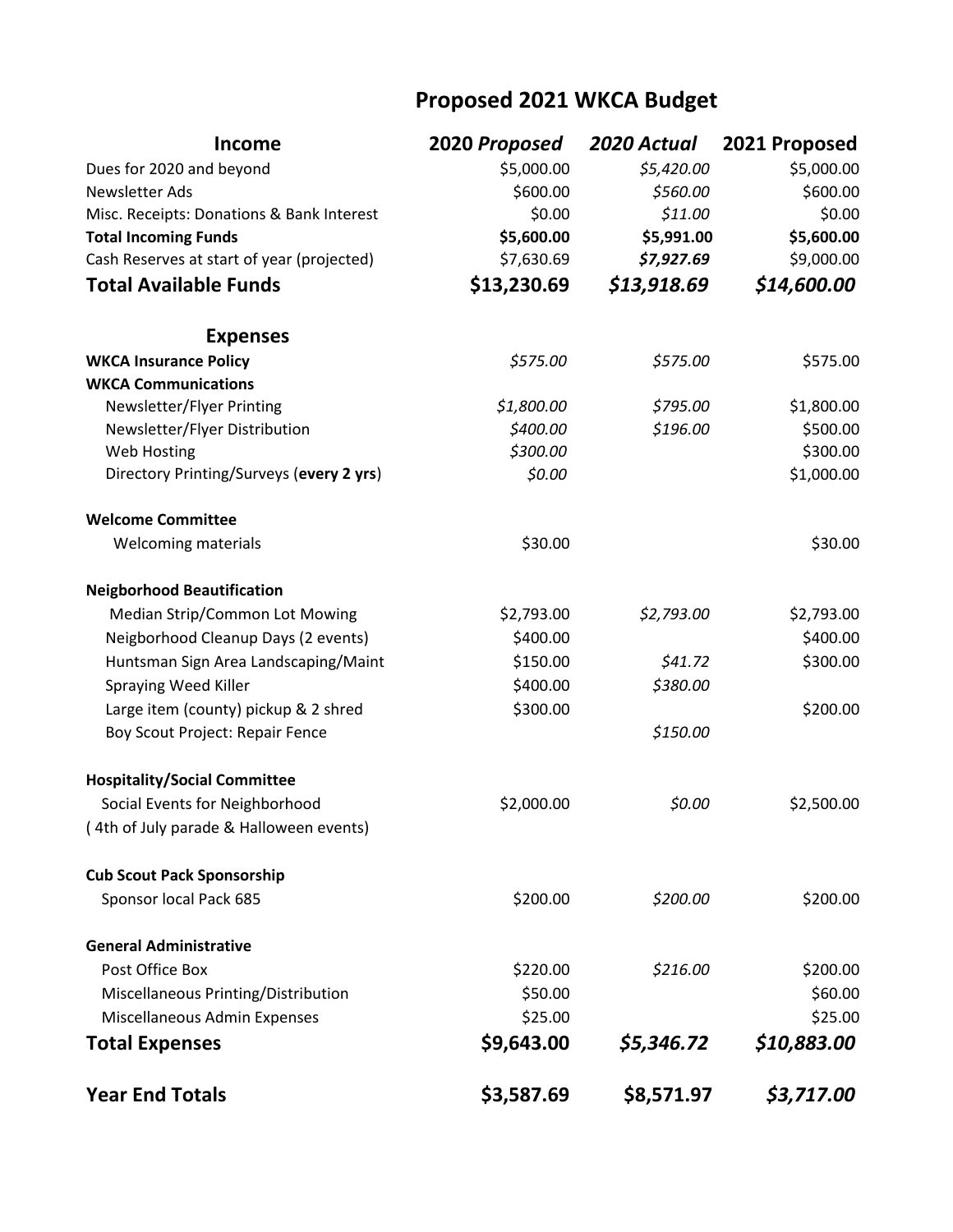## **Proposed 2021 WKCA Budget**

| <b>Income</b>                              | 2020 Proposed | 2020 Actual | 2021 Proposed |
|--------------------------------------------|---------------|-------------|---------------|
| Dues for 2020 and beyond                   | \$5,000.00    | \$5,420.00  | \$5,000.00    |
| Newsletter Ads                             | \$600.00      | \$560.00    | \$600.00      |
| Misc. Receipts: Donations & Bank Interest  | \$0.00        | \$11.00     | \$0.00        |
| <b>Total Incoming Funds</b>                | \$5,600.00    | \$5,991.00  | \$5,600.00    |
| Cash Reserves at start of year (projected) | \$7,630.69    | \$7,927.69  | \$9,000.00    |
| <b>Total Available Funds</b>               | \$13,230.69   | \$13,918.69 | \$14,600.00   |
| <b>Expenses</b>                            |               |             |               |
| <b>WKCA Insurance Policy</b>               | \$575.00      | \$575.00    | \$575.00      |
| <b>WKCA Communications</b>                 |               |             |               |
| Newsletter/Flyer Printing                  | \$1,800.00    | \$795.00    | \$1,800.00    |
| Newsletter/Flyer Distribution              | \$400.00      | \$196.00    | \$500.00      |
| Web Hosting                                | \$300.00      |             | \$300.00      |
| Directory Printing/Surveys (every 2 yrs)   | \$0.00        |             | \$1,000.00    |
| <b>Welcome Committee</b>                   |               |             |               |
| Welcoming materials                        | \$30.00       |             | \$30.00       |
| <b>Neigborhood Beautification</b>          |               |             |               |
| Median Strip/Common Lot Mowing             | \$2,793.00    | \$2,793.00  | \$2,793.00    |
| Neigborhood Cleanup Days (2 events)        | \$400.00      |             | \$400.00      |
| Huntsman Sign Area Landscaping/Maint       | \$150.00      | \$41.72     | \$300.00      |
| Spraying Weed Killer                       | \$400.00      | \$380.00    |               |
| Large item (county) pickup & 2 shred       | \$300.00      |             | \$200.00      |
| Boy Scout Project: Repair Fence            |               | \$150.00    |               |
| <b>Hospitality/Social Committee</b>        |               |             |               |
| Social Events for Neighborhood             | \$2,000.00    | \$0.00      | \$2,500.00    |
| (4th of July parade & Halloween events)    |               |             |               |
| <b>Cub Scout Pack Sponsorship</b>          |               |             |               |
| Sponsor local Pack 685                     | \$200.00      | \$200.00    | \$200.00      |
| <b>General Administrative</b>              |               |             |               |
| Post Office Box                            | \$220.00      | \$216.00    | \$200.00      |
| Miscellaneous Printing/Distribution        | \$50.00       |             | \$60.00       |
| Miscellaneous Admin Expenses               | \$25.00       |             | \$25.00       |
| <b>Total Expenses</b>                      | \$9,643.00    | \$5,346.72  | \$10,883.00   |
| <b>Year End Totals</b>                     | \$3,587.69    | \$8,571.97  | \$3,717.00    |